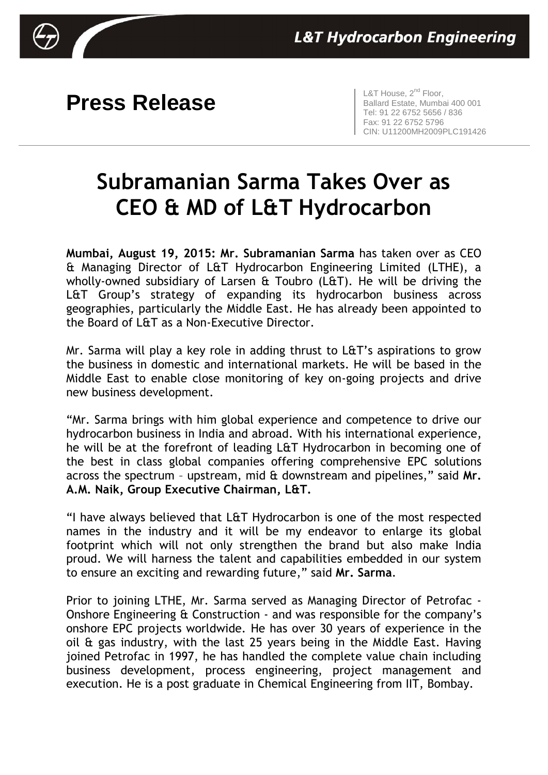

## **Press Release L&T House, 2<sup>nd</sup> Floor,**

Ballard Estate, Mumbai 400 001 Tel: 91 22 6752 5656 / 836 Fax: 91 22 6752 5796 CIN: U11200MH2009PLC191426

## **Subramanian Sarma Takes Over as CEO & MD of L&T Hydrocarbon**

**Mumbai, August 19, 2015: Mr. Subramanian Sarma** has taken over as CEO & Managing Director of L&T Hydrocarbon Engineering Limited (LTHE), a wholly-owned subsidiary of Larsen & Toubro (L&T). He will be driving the L&T Group's strategy of expanding its hydrocarbon business across geographies, particularly the Middle East. He has already been appointed to the Board of L&T as a Non-Executive Director.

Mr. Sarma will play a key role in adding thrust to L&T's aspirations to grow the business in domestic and international markets. He will be based in the Middle East to enable close monitoring of key on-going projects and drive new business development.

"Mr. Sarma brings with him global experience and competence to drive our hydrocarbon business in India and abroad. With his international experience, he will be at the forefront of leading L&T Hydrocarbon in becoming one of the best in class global companies offering comprehensive EPC solutions across the spectrum – upstream, mid & downstream and pipelines," said **Mr. A.M. Naik, Group Executive Chairman, L&T.**

"I have always believed that L&T Hydrocarbon is one of the most respected names in the industry and it will be my endeavor to enlarge its global footprint which will not only strengthen the brand but also make India proud. We will harness the talent and capabilities embedded in our system to ensure an exciting and rewarding future," said **Mr. Sarma**.

Prior to joining LTHE, Mr. Sarma served as Managing Director of Petrofac - Onshore Engineering & Construction - and was responsible for the company's onshore EPC projects worldwide. He has over 30 years of experience in the oil & gas industry, with the last 25 years being in the Middle East. Having joined Petrofac in 1997, he has handled the complete value chain including business development, process engineering, project management and execution. He is a post graduate in Chemical Engineering from IIT, Bombay.